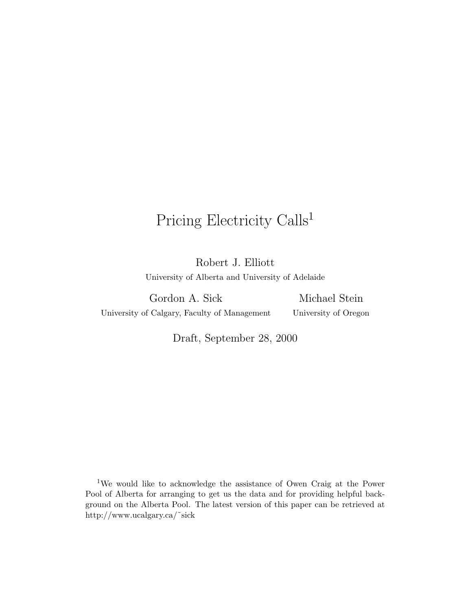# Pricing Electricity Calls<sup>1</sup>

Robert J. Elliott University of Alberta and University of Adelaide

Gordon A. Sick University of Calgary, Faculty of Management

Michael Stein University of Oregon

Draft, September 28, 2000

<sup>1</sup>We would like to acknowledge the assistance of Owen Craig at the Power Pool of Alberta for arranging to get us the data and for providing helpful background on the Alberta Pool. The latest version of this paper can be retrieved at http://www.ucalgary.ca/˜sick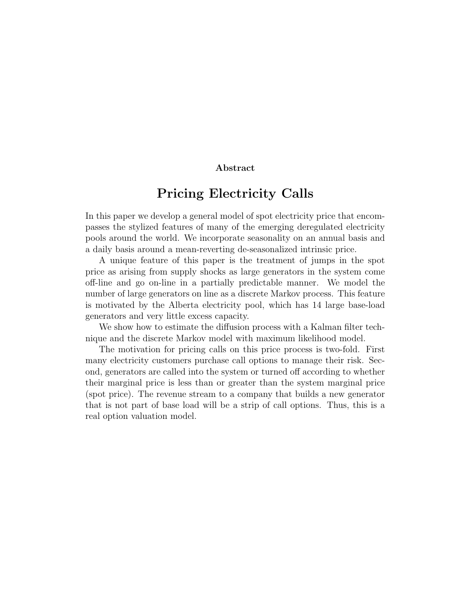#### **Abstract**

## **Pricing Electricity Calls**

In this paper we develop a general model of spot electricity price that encompasses the stylized features of many of the emerging deregulated electricity pools around the world. We incorporate seasonality on an annual basis and a daily basis around a mean-reverting de-seasonalized intrinsic price.

A unique feature of this paper is the treatment of jumps in the spot price as arising from supply shocks as large generators in the system come off-line and go on-line in a partially predictable manner. We model the number of large generators on line as a discrete Markov process. This feature is motivated by the Alberta electricity pool, which has 14 large base-load generators and very little excess capacity.

We show how to estimate the diffusion process with a Kalman filter technique and the discrete Markov model with maximum likelihood model.

The motivation for pricing calls on this price process is two-fold. First many electricity customers purchase call options to manage their risk. Second, generators are called into the system or turned off according to whether their marginal price is less than or greater than the system marginal price (spot price). The revenue stream to a company that builds a new generator that is not part of base load will be a strip of call options. Thus, this is a real option valuation model.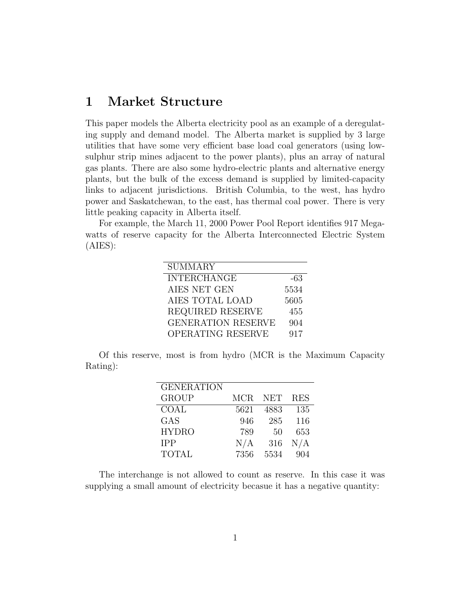#### **1 Market Structure**

This paper models the Alberta electricity pool as an example of a deregulating supply and demand model. The Alberta market is supplied by 3 large utilities that have some very efficient base load coal generators (using lowsulphur strip mines adjacent to the power plants), plus an array of natural gas plants. There are also some hydro-electric plants and alternative energy plants, but the bulk of the excess demand is supplied by limited-capacity links to adjacent jurisdictions. British Columbia, to the west, has hydro power and Saskatchewan, to the east, has thermal coal power. There is very little peaking capacity in Alberta itself.

For example, the March 11, 2000 Power Pool Report identifies 917 Megawatts of reserve capacity for the Alberta Interconnected Electric System (AIES):

| <b>SUMMARY</b>            |      |
|---------------------------|------|
| <b>INTERCHANGE</b>        | -63  |
| AIES NET GEN              | 5534 |
| AIES TOTAL LOAD           | 5605 |
| <b>REQUIRED RESERVE</b>   | 455  |
| <b>GENERATION RESERVE</b> | 904  |
| OPERATING RESERVE         | 917  |

Of this reserve, most is from hydro (MCR is the Maximum Capacity Rating):

| <b>GENERATION</b> |      |              |            |
|-------------------|------|--------------|------------|
| <b>GROUP</b>      | MCR. | <b>NET</b>   | <b>RES</b> |
| COAL              | 5621 | 4883         | 135        |
| <b>GAS</b>        | 946  | 285          | 116        |
| <b>HYDRO</b>      | 789  | $50^{\circ}$ | 653        |
| <b>IPP</b>        | N/A  | 316          | N/A        |
| <b>TOTAL</b>      | 7356 | 5534         | 904        |

The interchange is not allowed to count as reserve. In this case it was supplying a small amount of electricity becasue it has a negative quantity: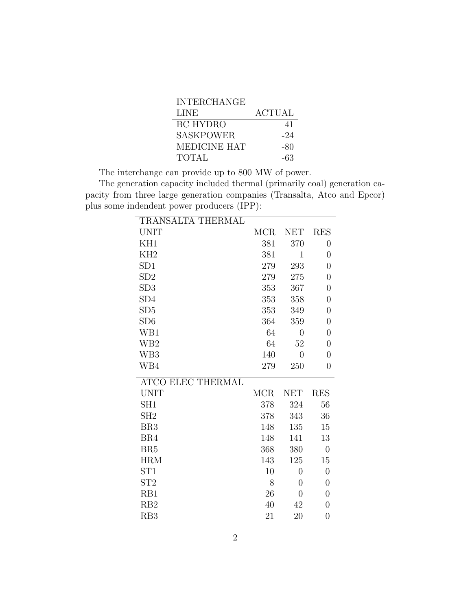| <b>INTERCHANGE</b>  |               |
|---------------------|---------------|
| <b>LINE</b>         | <b>ACTUAL</b> |
| BC HYDRO            | 41            |
| <b>SASKPOWER</b>    | -24           |
| <b>MEDICINE HAT</b> | -80           |
| <b>TOTAL</b>        | -63           |

The interchange can provide up to 800 MW of power.

The generation capacity included thermal (primarily coal) generation capacity from three large generation companies (Transalta, Atco and Epcor) plus some indendent power producers (IPP):

| TRANSALTA THERMAL        |            |                |                  |
|--------------------------|------------|----------------|------------------|
| <b>UNIT</b>              | <b>MCR</b> | <b>NET</b>     | <b>RES</b>       |
| KH1                      | 381        | 370            | $\overline{0}$   |
| KH <sub>2</sub>          | 381        | $\mathbf{1}$   | $\overline{0}$   |
| SD1                      | 279        | 293            | $\overline{0}$   |
| SD2                      | 279        | 275            | $\overline{0}$   |
| SD3                      | 353        | 367            | $\overline{0}$   |
| SD <sub>4</sub>          | 353        | 358            | $\overline{0}$   |
| SD <sub>5</sub>          | 353        | 349            | $\boldsymbol{0}$ |
| SD <sub>6</sub>          | 364        | 359            | $\overline{0}$   |
| WB1                      | 64         | $\overline{0}$ | $\overline{0}$   |
| WB <sub>2</sub>          | 64         | 52             | $\boldsymbol{0}$ |
| WB <sub>3</sub>          | 140        | $\overline{0}$ | $\overline{0}$   |
| WB4                      | 279        | 250            | $\overline{0}$   |
| <b>ATCO ELEC THERMAL</b> |            |                |                  |
| <b>UNIT</b>              | <b>MCR</b> | <b>NET</b>     | <b>RES</b>       |
| SH1                      | 378        | 324            | 56               |
| SH <sub>2</sub>          | 378        | 343            | 36               |
| BR <sub>3</sub>          | 148        | 135            | 15               |
| BR4                      | 148        | 141            | 13               |
| BR <sub>5</sub>          | 368        | 380            | $\overline{0}$   |
| <b>HRM</b>               | 143        | 125            | 15               |
| ST <sub>1</sub>          | 10         | $\overline{0}$ | $\overline{0}$   |
| ST <sub>2</sub>          | 8          | $\theta$       | $\overline{0}$   |
| RB1                      | 26         | $\theta$       | $\overline{0}$   |
| RB2                      | 40         | 42             | $\overline{0}$   |
| RB <sub>3</sub>          | 21         | 20             | $\overline{0}$   |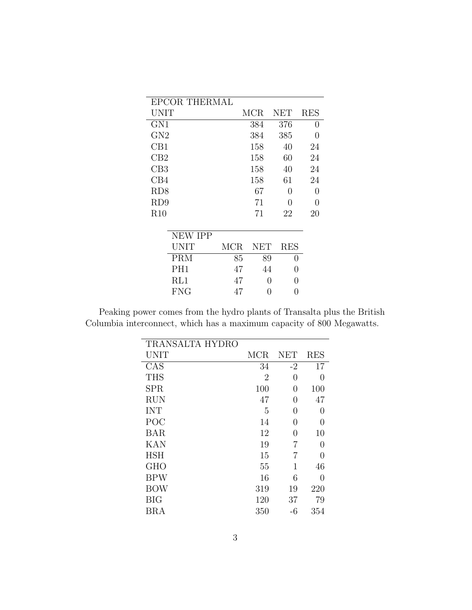| EPCOR THERMAL |     |               |                                         |
|---------------|-----|---------------|-----------------------------------------|
|               |     | NET           | <b>RES</b>                              |
|               | 384 | 376           | 0                                       |
|               | 384 | 385           | 0                                       |
|               | 158 | 40            | 24                                      |
|               | 158 | 60            | 24                                      |
|               | 158 | 40            | 24                                      |
|               | 158 | 61            | 24                                      |
|               | 67  | 0             | 0                                       |
|               | 71  | 0             | 0                                       |
|               | 71  | 22            | 20                                      |
|               |     |               |                                         |
|               |     |               |                                         |
| MCR.          |     | <b>RES</b>    |                                         |
| 85            |     | $\mathcal{O}$ |                                         |
| 47            |     | 0             |                                         |
| 47            |     | ∩             |                                         |
| 47            | 0   | 0             |                                         |
|               |     | MCR           | <b>NET</b><br>89<br>44<br>$\mathcal{O}$ |

Peaking power comes from the hydro plants of Transalta plus the British Columbia interconnect, which has a maximum capacity of 800 Megawatts.

| TRANSALTA HYDRO |                |            |            |
|-----------------|----------------|------------|------------|
| UNIT            | <b>MCR</b>     | <b>NET</b> | <b>RES</b> |
| CAS             | 34             | $-2$       | 17         |
| <b>THS</b>      | $\overline{2}$ | 0          | 0          |
| <b>SPR</b>      | 100            | $\theta$   | 100        |
| <b>RUN</b>      | 47             | 0          | 47         |
| <b>INT</b>      | 5              | 0          | 0          |
| POC             | 14             | 0          | 0          |
| <b>BAR</b>      | 12             | 0          | 10         |
| <b>KAN</b>      | 19             | 7          | 0          |
| <b>HSH</b>      | 15             | 7          | 0          |
| <b>GHO</b>      | 55             | 1          | 46         |
| <b>BPW</b>      | 16             | 6          | 0          |
| <b>BOW</b>      | 319            | 19         | 220        |
| <b>BIG</b>      | 120            | 37         | 79         |
| BRA             | 350            | -6         | 354        |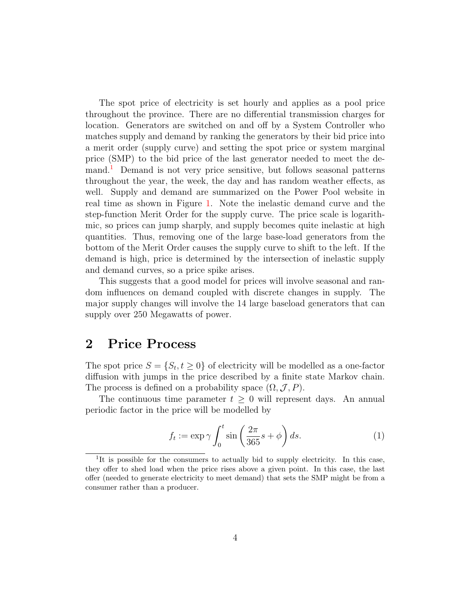The spot price of electricity is set hourly and applies as a pool price throughout the province. There are no differential transmission charges for location. Generators are switched on and off by a System Controller who matches supply and demand by ranking the generators by their bid price into a merit order (supply curve) and setting the spot price or system marginal price (SMP) to the bid price of the last generator needed to meet the demand.[1](#page-5-0) Demand is not very price sensitive, but follows seasonal patterns throughout the year, the week, the day and has random weather effects, as well. Supply and demand are summarized on the Power Pool website in real time as shown in Figure [1.](#page-6-0) Note the inelastic demand curve and the step-function Merit Order for the supply curve. The price scale is logarithmic, so prices can jump sharply, and supply becomes quite inelastic at high quantities. Thus, removing one of the large base-load generators from the bottom of the Merit Order causes the supply curve to shift to the left. If the demand is high, price is determined by the intersection of inelastic supply and demand curves, so a price spike arises.

This suggests that a good model for prices will involve seasonal and random influences on demand coupled with discrete changes in supply. The major supply changes will involve the 14 large baseload generators that can supply over 250 Megawatts of power.

### **2 Price Process**

The spot price  $S = \{S_t, t \geq 0\}$  of electricity will be modelled as a one-factor diffusion with jumps in the price described by a finite state Markov chain. The process is defined on a probability space  $(\Omega, \mathcal{J}, P)$ .

<span id="page-5-0"></span>The continuous time parameter  $t > 0$  will represent days. An annual periodic factor in the price will be modelled by

<span id="page-5-1"></span>
$$
f_t := \exp \gamma \int_0^t \sin \left(\frac{2\pi}{365} s + \phi\right) ds. \tag{1}
$$

<sup>&</sup>lt;sup>1</sup>It is possible for the consumers to actually bid to supply electricity. In this case, they offer to shed load when the price rises above a given point. In this case, the last offer (needed to generate electricity to meet demand) that sets the SMP might be from a consumer rather than a producer.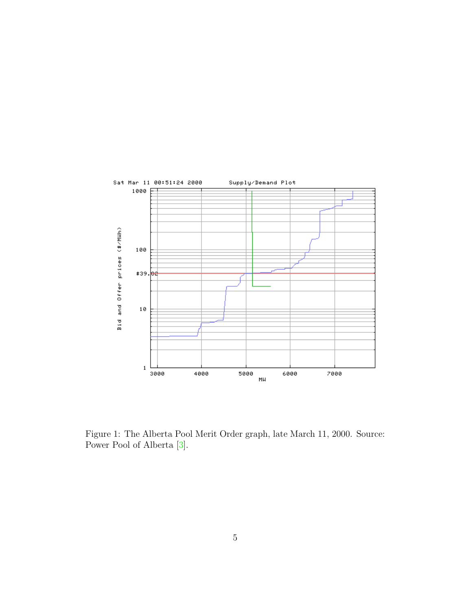

<span id="page-6-0"></span>Figure 1: The Alberta Pool Merit Order graph, late March 11, 2000. Source: Power Pool of Alberta [\[3\]](#page-25-0).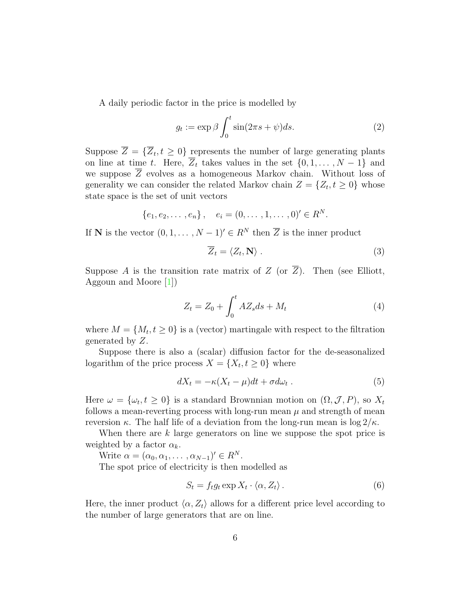A daily periodic factor in the price is modelled by

<span id="page-7-0"></span>
$$
g_t := \exp \beta \int_0^t \sin(2\pi s + \psi) ds.
$$
 (2)

Suppose  $\overline{Z} = {\overline{Z}_t, t \geq 0}$  represents the number of large generating plants on line at time t. Here,  $\overline{Z}_t$  takes values in the set  $\{0, 1, \ldots, N-1\}$  and we suppose  $\overline{Z}$  evolves as a homogeneous Markov chain. Without loss of generality we can consider the related Markov chain  $Z = \{Z_t, t \geq 0\}$  whose state space is the set of unit vectors

$$
\{e_1, e_2, \ldots, e_n\}, \quad e_i = (0, \ldots, 1, \ldots, 0)' \in R^N.
$$

If **N** is the vector  $(0, 1, \ldots, N - 1)' \in R^N$  then  $\overline{Z}$  is the inner product

<span id="page-7-2"></span>
$$
\overline{Z}_t = \langle Z_t, \mathbf{N} \rangle \tag{3}
$$

Suppose A is the transition rate matrix of Z (or  $\overline{Z}$ ). Then (see Elliott, Aggoun and Moore [\[1\]](#page-25-1))

<span id="page-7-1"></span>
$$
Z_t = Z_0 + \int_0^t AZ_s ds + M_t \tag{4}
$$

where  $M = \{M_t, t \geq 0\}$  is a (vector) martingale with respect to the filtration generated by Z.

Suppose there is also a (scalar) diffusion factor for the de-seasonalized logarithm of the price process  $X = \{X_t, t \geq 0\}$  where

$$
dX_t = -\kappa (X_t - \mu)dt + \sigma d\omega_t . \tag{5}
$$

Here  $\omega = {\omega_t, t \geq 0}$  is a standard Brownnian motion on  $(\Omega, \mathcal{J}, P)$ , so  $X_t$ follows a mean-reverting process with long-run mean  $\mu$  and strength of mean reversion κ. The half life of a deviation from the long-run mean is  $\log 2/\kappa$ .

When there are k large generators on line we suppose the spot price is weighted by a factor  $\alpha_k$ .

Write  $\alpha = (\alpha_0, \alpha_1, \ldots, \alpha_{N-1})' \in R^N$ .

The spot price of electricity is then modelled as

$$
S_t = f_t g_t \exp X_t \cdot \langle \alpha, Z_t \rangle. \tag{6}
$$

Here, the inner product  $\langle \alpha, Z_t \rangle$  allows for a different price level according to the number of large generators that are on line.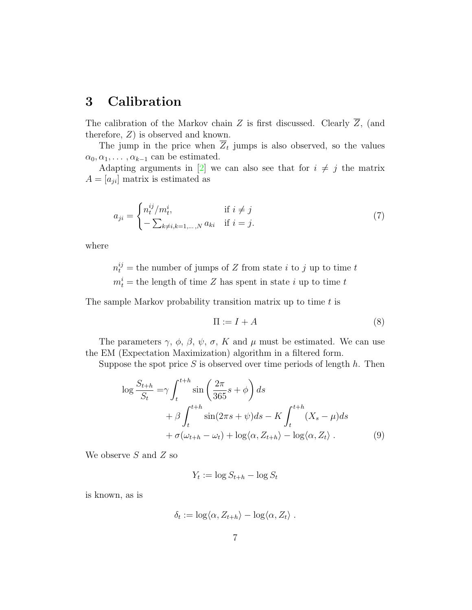### <span id="page-8-0"></span>**3 Calibration**

The calibration of the Markov chain Z is first discussed. Clearly  $\overline{Z}$ , (and therefore, Z) is observed and known.

The jump in the price when  $\overline{Z}_t$  jumps is also observed, so the values  $\alpha_0, \alpha_1, \ldots, \alpha_{k-1}$  can be estimated.

Adapting arguments in [\[2\]](#page-25-2) we can also see that for  $i \neq j$  the matrix  $A = [a_{ji}]$  matrix is estimated as

$$
a_{ji} = \begin{cases} n_t^{ij} / m_t^i, & \text{if } i \neq j \\ -\sum_{k \neq i, k=1,\dots,N} a_{ki} & \text{if } i = j. \end{cases}
$$
(7)

where

 $n_t^{ij}$  = the number of jumps of Z from state *i* to *j* up to time *t*  $m_t^i$  = the length of time Z has spent in state i up to time t

The sample Markov probability transition matrix up to time  $t$  is

<span id="page-8-1"></span>
$$
\Pi := I + A \tag{8}
$$

The parameters  $\gamma$ ,  $\phi$ ,  $\beta$ ,  $\psi$ ,  $\sigma$ , K and  $\mu$  must be estimated. We can use the EM (Expectation Maximization) algorithm in a filtered form.

Suppose the spot price  $S$  is observed over time periods of length  $h$ . Then

$$
\log \frac{S_{t+h}}{S_t} = \gamma \int_t^{t+h} \sin \left( \frac{2\pi}{365} s + \phi \right) ds
$$
  
+  $\beta \int_t^{t+h} \sin(2\pi s + \psi) ds - K \int_t^{t+h} (X_s - \mu) ds$   
+  $\sigma(\omega_{t+h} - \omega_t) + \log \langle \alpha, Z_{t+h} \rangle - \log \langle \alpha, Z_t \rangle$ . (9)

We observe  $S$  and  $Z$  so

$$
Y_t := \log S_{t+h} - \log S_t
$$

is known, as is

$$
\delta_t := \log \langle \alpha, Z_{t+h} \rangle - \log \langle \alpha, Z_t \rangle.
$$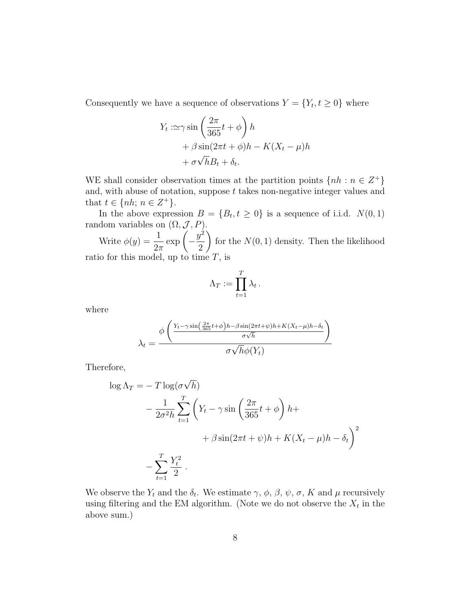Consequently we have a sequence of observations  $Y = \{Y_t, t \geq 0\}$  where

$$
Y_t := \gamma \sin\left(\frac{2\pi}{365}t + \phi\right)h
$$
  
+  $\beta \sin(2\pi t + \phi)h - K(X_t - \mu)h$   
+  $\sigma\sqrt{h}B_t + \delta_t$ .

WE shall consider observation times at the partition points  $\{nh : n \in \mathbb{Z}^+\}$ and, with abuse of notation, suppose  $t$  takes non-negative integer values and that  $t \in \{nh; n \in Z^+\}.$ 

In the above expression  $B = \{B_t, t \geq 0\}$  is a sequence of i.i.d.  $N(0, 1)$ random variables on  $(\Omega, \mathcal{J}, P)$ .

Write  $\phi(y) = \frac{1}{2}$  $2\pi$  $\exp\left(-\frac{y^2}{2}\right)$ 2  $\setminus$ for the  $N(0, 1)$  density. Then the likelihood ratio for this model, up to time  $T$ , is

$$
\Lambda_T := \prod_{t=1}^T \lambda_t \, .
$$

where

$$
\lambda_t = \frac{\phi\left(\frac{Y_t - \gamma \sin\left(\frac{2\pi}{365}t + \phi\right)h - \beta \sin\left(2\pi t + \psi\right)h + K(X_t - \mu)h - \delta_t}{\sigma \sqrt{h}}\right)}{\sigma \sqrt{h} \phi(Y_t)}
$$

Therefore,

$$
\log \Lambda_T = -T \log(\sigma \sqrt{h})
$$
  

$$
- \frac{1}{2\sigma^2 h} \sum_{t=1}^T \left( Y_t - \gamma \sin\left(\frac{2\pi}{365}t + \phi\right) h + \beta \sin(2\pi t + \psi) h + K(X_t - \mu) h - \delta_t \right)^2
$$
  

$$
- \sum_{t=1}^T \frac{Y_t^2}{2}.
$$

We observe the  $Y_t$  and the  $\delta_t$ . We estimate  $\gamma$ ,  $\phi$ ,  $\beta$ ,  $\psi$ ,  $\sigma$ ,  $K$  and  $\mu$  recursively using filtering and the EM algorithm. (Note we do not observe the  $\mathcal{X}_t$  in the above sum.)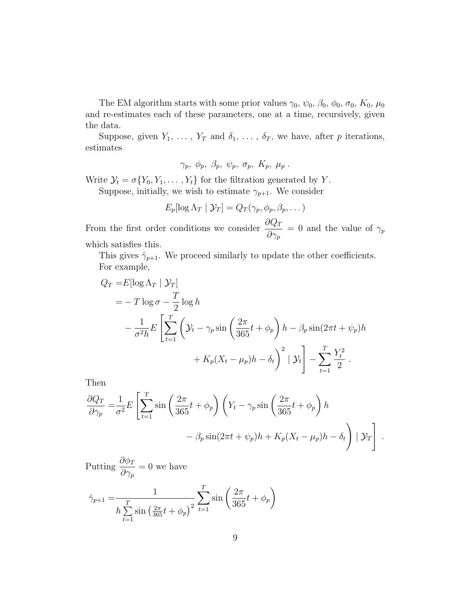The EM algorithm starts with some prior values  $\gamma_0$ ,  $\psi_0$ ,  $\beta_0$ ,  $\phi_0$ ,  $\sigma_0$ ,  $K_0$ ,  $\mu_0$ and re-estimates each of these parameters, one at a time, recursively, given the data.

Suppose, given  $Y_1, \ldots, Y_T$  and  $\delta_1, \ldots, \delta_T$ , we have, after p iterations, estimates

$$
\gamma_p,~\phi_p,~\beta_p,~\psi_p,~\sigma_p,~K_p,~\mu_p~.
$$

Write  $\mathcal{Y}_t = \sigma\{Y_0, Y_1, \dots, Y_t\}$  for the filtration generated by Y.

Suppose, initially, we wish to estimate  $\gamma_{p+1}$ . We consider

$$
E_p[\log \Lambda_T | \mathcal{Y}_T] = Q_T(\gamma_p, \phi_p, \beta_p, \dots)
$$

From the first order conditions we consider  $\frac{\partial Q_T}{\partial q}$  $\partial\gamma_p$  $= 0$  and the value of  $\gamma_p$ which satisfies this.

This gives  $\hat{\gamma}_{p+1}$ . We proceed similarly to update the other coefficients. For example,

$$
Q_T = E[\log \Lambda_T | \mathcal{Y}_T]
$$
  
=  $-T \log \sigma - \frac{T}{2} \log h$   
 $- \frac{1}{\sigma^2 h} E\left[\sum_{t=1}^T \left(\mathcal{Y}_t - \gamma_p \sin\left(\frac{2\pi}{365}t + \phi_p\right)h - \beta_p \sin(2\pi t + \psi_p)h + K_p(X_t - \mu_p)h - \delta_t\right)^2 | \mathcal{Y}_t \right] - \sum_{t=1}^T \frac{Y_t^2}{2}.$ 

Then

$$
\frac{\partial Q_T}{\partial \gamma_p} = \frac{1}{\sigma^2} E \left[ \sum_{t=1}^T \sin \left( \frac{2\pi}{365} t + \phi_p \right) \left( Y_t - \gamma_p \sin \left( \frac{2\pi}{365} t + \phi_p \right) h - \beta_p \sin(2\pi t + \psi_p) h + K_p (X_t - \mu_p) h - \delta_t \right) \mid \mathcal{Y}_T \right].
$$

Putting  $\frac{\partial \phi_T}{\partial x}$  $\partial\gamma_p$  $= 0$  we have

$$
\hat{\gamma}_{p+1} = \frac{1}{h \sum_{t=1}^{T} \sin\left(\frac{2\pi}{365}t + \phi_p\right)^2} \sum_{t=1}^{T} \sin\left(\frac{2\pi}{365}t + \phi_p\right)
$$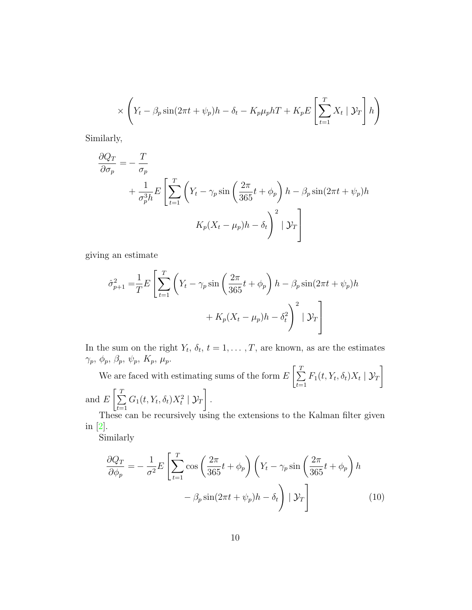$$
\times \left(Y_t - \beta_p \sin(2\pi t + \psi_p)h - \delta_t - K_p \mu_p hT + K_p E\left[\sum_{t=1}^T X_t \mid \mathcal{Y}_T\right]h\right)
$$

Similarly,

$$
\frac{\partial Q_T}{\partial \sigma_p} = -\frac{T}{\sigma_p} + \frac{1}{\sigma_p^3 h} E \left[ \sum_{t=1}^T \left( Y_t - \gamma_p \sin\left(\frac{2\pi}{365}t + \phi_p \right) h - \beta_p \sin(2\pi t + \psi_p) h \right) \right]
$$

$$
K_p (X_t - \mu_p) h - \delta_t \left. \right)^2 \left| \mathcal{Y}_T \right]
$$

giving an estimate

$$
\hat{\sigma}_{p+1}^2 = \frac{1}{T} E \left[ \sum_{t=1}^T \left( Y_t - \gamma_p \sin \left( \frac{2\pi}{365} t + \phi_p \right) h - \beta_p \sin(2\pi t + \psi_p) h \right. \right. \\ \left. + K_p (X_t - \mu_p) h - \delta_t^2 \right)^2 \mid \mathcal{Y}_T \right]
$$

In the sum on the right  $Y_t$ ,  $\delta_t$ ,  $t = 1, \ldots, T$ , are known, as are the estimates  $\gamma_p,\ \phi_p,\ \beta_p,\ \psi_p,\ K_p,\ \mu_p.$ 

We are faced with estimating sums of the form  $E\left[\sum_{n=1}^{T}$ T  $_{t=1}$  $F_1(t, Y_t, \delta_t)X_t | \mathcal{Y}_T$ and  $E$  $\left[\frac{T}{\sum}\right]$ T  $_{t=1}$  $G_1(t, Y_t, \delta_t) X_t^2 \mid \mathcal{Y}_T$ .

These can be recursively using the extensions to the Kalman filter given in [\[2\]](#page-25-2).

Similarly

<span id="page-11-0"></span>
$$
\frac{\partial Q_T}{\partial \phi_p} = -\frac{1}{\sigma^2} E \left[ \sum_{t=1}^T \cos \left( \frac{2\pi}{365} t + \phi_p \right) \left( Y_t - \gamma_p \sin \left( \frac{2\pi}{365} t + \phi_p \right) h - \beta_p \sin(2\pi t + \psi_p) h - \delta_t \right) \mid \mathcal{Y}_T \right]
$$
(10)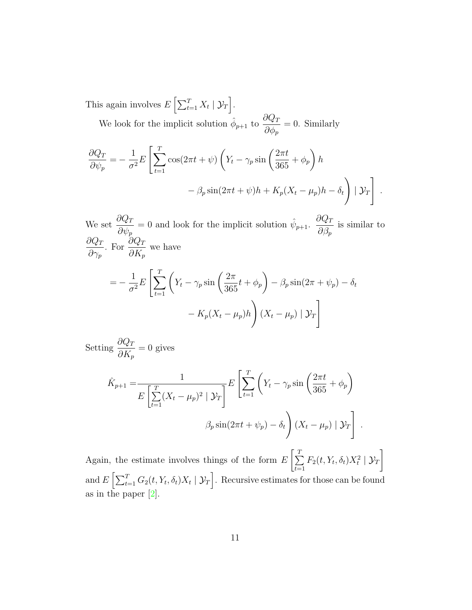This again involves  $E\left[\sum_{t=1}^T X_t | \mathcal{Y}_T\right]$ . We look for the implicit solution  $\hat{\phi}_{p+1}$  to  $\frac{\partial Q_T}{\partial \phi_n}$  $\partial \phi_p$  $= 0$ . Similarly

$$
\frac{\partial Q_T}{\partial \psi_p} = -\frac{1}{\sigma^2} E \left[ \sum_{t=1}^T \cos(2\pi t + \psi) \left( Y_t - \gamma_p \sin\left(\frac{2\pi t}{365} + \phi_p \right) h - \beta_p \sin(2\pi t + \psi) h + K_p (X_t - \mu_p) h - \delta_t \right) \mid \mathcal{Y}_T \right].
$$

We set  $\frac{\partial Q_T}{\partial x}$  $\partial \psi_p$ = 0 and look for the implicit solution  $\hat{\psi}_{p+1}$ .  $\frac{\partial Q_T}{\partial \hat{\phi}}$  $\partial \beta_p$ is similar to  $\partial Q_T$  $\partial\gamma_p$ . For  $\frac{\partial Q_T}{\partial V}$  $\partial K_p$ we have  $=-\frac{1}{4}$  $\frac{1}{\sigma^2}E$  $\lceil$  $\sum$ T  $t=1$  $\left(Y_t - \gamma_p \sin\left(\frac{2\pi}{365}t + \phi_p\right) - \beta_p \sin(2\pi + \psi_p) - \delta_t\right)$  $- K_p(X_t - \mu_p)h$  $\setminus$  $(X_t - \mu_p) \mid \mathcal{Y}_T$ 1

Setting  $\frac{\partial Q_T}{\partial V}$  $\partial K_p$  $= 0$  gives

$$
\hat{K}_{p+1} = \frac{1}{E\left[\sum_{t=1}^{T} (X_t - \mu_p)^2 \mid \mathcal{Y}_T\right]} E\left[\sum_{t=1}^{T} \left(Y_t - \gamma_p \sin\left(\frac{2\pi t}{365} + \phi_p\right) - \beta_p \sin(2\pi t + \psi_p) - \delta_t\right) (X_t - \mu_p) \mid \mathcal{Y}_T\right].
$$

Again, the estimate involves things of the form  $E\left[\sum_{n=1}^{T}\right]$ T  $t=1$  $F_2(t, Y_t, \delta_t) X_t^2 \mid \mathcal{Y}_T$ and  $E\left[\sum_{t=1}^T G_2(t, Y_t, \delta_t)X_t \mid \mathcal{Y}_T\right]$ . Recursive estimates for those can be found as in the paper [\[2\]](#page-25-2).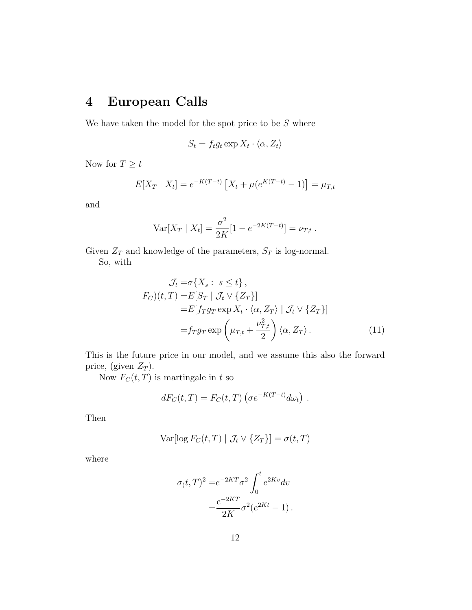## **4 European Calls**

We have taken the model for the spot price to be  $S$  where

$$
S_t = f_t g_t \exp X_t \cdot \langle \alpha, Z_t \rangle
$$

Now for  $T\geq t$ 

$$
E[X_T | X_t] = e^{-K(T-t)} [X_t + \mu(e^{K(T-t)} - 1)] = \mu_{T,t}
$$

and

$$
Var[X_T | X_t] = \frac{\sigma^2}{2K} [1 - e^{-2K(T-t)}] = \nu_{T,t}.
$$

Given  $\mathbb{Z}_T$  and knowledge of the parameters,  $\mathbb{S}_T$  is log-normal. So, with

<span id="page-13-0"></span>
$$
\mathcal{J}_t = \sigma\{X_s : s \le t\},
$$
  
\n
$$
F_C)(t, T) = E[S_T | \mathcal{J}_t \vee \{Z_T\}]
$$
  
\n
$$
= E[f_T g_T \exp X_t \cdot \langle \alpha, Z_T \rangle | \mathcal{J}_t \vee \{Z_T\}]
$$
  
\n
$$
= f_T g_T \exp\left(\mu_{T,t} + \frac{\nu_{T,t}^2}{2}\right) \langle \alpha, Z_T \rangle.
$$
 (11)

This is the future price in our model, and we assume this also the forward price, (given  $Z_T$ ).

Now  $F_C(t, T)$  is martingale in t so

$$
dF_C(t,T) = F_C(t,T) \left( \sigma e^{-K(T-t)} d\omega_t \right) .
$$

Then

$$
Var[log F_C(t, T) | \mathcal{J}_t \vee \{Z_T\}] = \sigma(t, T)
$$

where

$$
\sigma(t,T)^2 = e^{-2KT}\sigma^2 \int_0^t e^{2Kv} dv
$$

$$
= \frac{e^{-2KT}}{2K}\sigma^2(e^{2Kt} - 1).
$$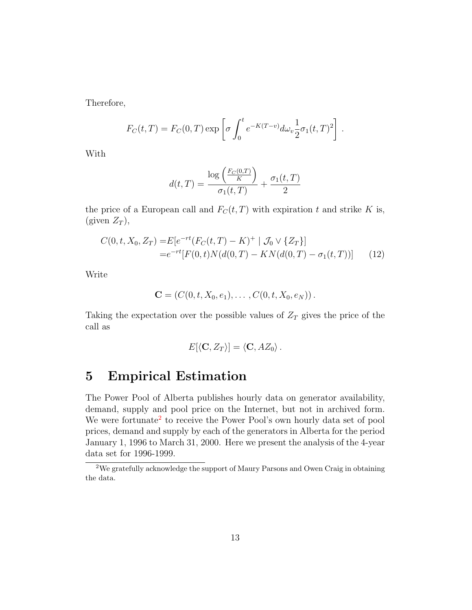Therefore,

$$
F_C(t,T) = F_C(0,T) \exp \left[ \sigma \int_0^t e^{-K(T-v)} d\omega_v \frac{1}{2} \sigma_1(t,T)^2 \right].
$$

With

<span id="page-14-1"></span>
$$
d(t,T) = \frac{\log\left(\frac{F_C(0,T)}{K}\right)}{\sigma_1(t,T)} + \frac{\sigma_1(t,T)}{2}
$$

the price of a European call and  $F_C(t, T)$  with expiration t and strike K is, (given  $Z_T$ ),

$$
C(0, t, X_0, Z_T) = E[e^{-rt}(F_C(t, T) - K)^+ | \mathcal{J}_0 \vee \{Z_T\}]
$$
  
= 
$$
e^{-rt}[F(0, t)N(d(0, T) - KN(d(0, T) - \sigma_1(t, T))]
$$
(12)

Write

$$
\mathbf{C} = (C(0,t,X_0,e_1),\ldots,C(0,t,X_0,e_N)).
$$

Taking the expectation over the possible values of  $Z_T$  gives the price of the call as

$$
E[\langle \mathbf{C}, Z_T \rangle] = \langle \mathbf{C}, AZ_0 \rangle.
$$

#### **5 Empirical Estimation**

The Power Pool of Alberta publishes hourly data on generator availability, demand, supply and pool price on the Internet, but not in archived form. We were fortunate<sup>[2](#page-14-0)</sup> to receive the Power Pool's own hourly data set of pool prices, demand and supply by each of the generators in Alberta for the period January 1, 1996 to March 31, 2000. Here we present the analysis of the 4-year data set for 1996-1999.

<span id="page-14-0"></span><sup>2</sup>We gratefully acknowledge the support of Maury Parsons and Owen Craig in obtaining the data.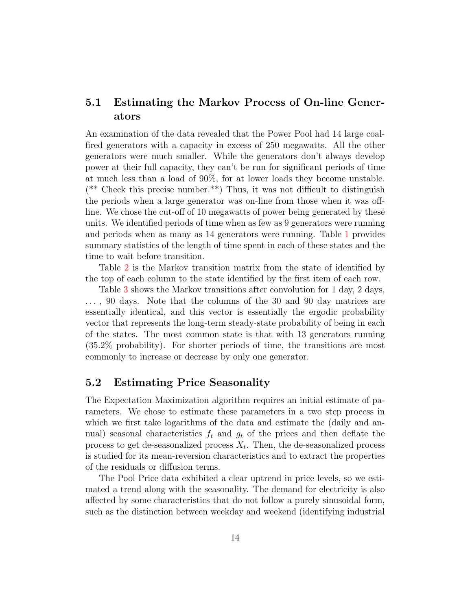#### **5.1 Estimating the Markov Process of On-line Generators**

An examination of the data revealed that the Power Pool had 14 large coalfired generators with a capacity in excess of 250 megawatts. All the other generators were much smaller. While the generators don't always develop power at their full capacity, they can't be run for significant periods of time at much less than a load of 90%, for at lower loads they become unstable.  $(*\ast$  Check this precise number.<sup>\*\*</sup>) Thus, it was not difficult to distinguish the periods when a large generator was on-line from those when it was offline. We chose the cut-off of 10 megawatts of power being generated by these units. We identified periods of time when as few as 9 generators were running and periods when as many as 14 generators were running. Table [1](#page-16-0) provides summary statistics of the length of time spent in each of these states and the time to wait before transition.

Table [2](#page-16-1) is the Markov transition matrix from the state of identified by the top of each column to the state identified by the first item of each row.

Table [3](#page-17-0) shows the Markov transitions after convolution for 1 day, 2 days, ... , 90 days. Note that the columns of the 30 and 90 day matrices are essentially identical, and this vector is essentially the ergodic probability vector that represents the long-term steady-state probability of being in each of the states. The most common state is that with 13 generators running (35.2% probability). For shorter periods of time, the transitions are most commonly to increase or decrease by only one generator.

#### **5.2 Estimating Price Seasonality**

The Expectation Maximization algorithm requires an initial estimate of parameters. We chose to estimate these parameters in a two step process in which we first take logarithms of the data and estimate the (daily and annual) seasonal characteristics  $f_t$  and  $g_t$  of the prices and then deflate the process to get de-seasonalized process  $X_t$ . Then, the de-seasonalized process is studied for its mean-reversion characteristics and to extract the properties of the residuals or diffusion terms.

The Pool Price data exhibited a clear uptrend in price levels, so we estimated a trend along with the seasonality. The demand for electricity is also affected by some characteristics that do not follow a purely sinusoidal form, such as the distinction between weekday and weekend (identifying industrial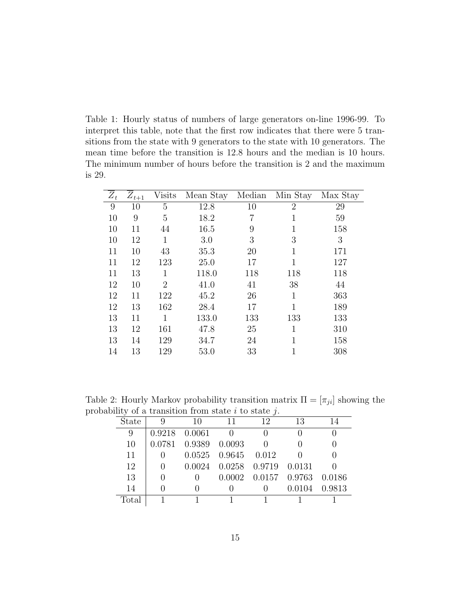<span id="page-16-0"></span>Table 1: Hourly status of numbers of large generators on-line 1996-99. To interpret this table, note that the first row indicates that there were 5 transitions from the state with 9 generators to the state with 10 generators. The mean time before the transition is 12.8 hours and the median is 10 hours. The minimum number of hours before the transition is 2 and the maximum is 29.

| $Z_t$ | $Z_{t+1}$ | <b>Visits</b>  | Mean Stay | Median | Min Stay       | Max Stay |
|-------|-----------|----------------|-----------|--------|----------------|----------|
| 9     | 10        | 5              | 12.8      | 10     | $\overline{2}$ | 29       |
| 10    | 9         | 5              | 18.2      | 7      | 1              | 59       |
| 10    | 11        | 44             | 16.5      | 9      | 1              | 158      |
| 10    | 12        | 1              | 3.0       | 3      | 3              | 3        |
| 11    | 10        | 43             | 35.3      | 20     | 1              | 171      |
| 11    | 12        | 123            | 25.0      | 17     | 1              | 127      |
| 11    | 13        | 1              | 118.0     | 118    | 118            | 118      |
| 12    | 10        | $\overline{2}$ | 41.0      | 41     | 38             | 44       |
| 12    | 11        | 122            | 45.2      | 26     | $\mathbf{1}$   | 363      |
| 12    | 13        | 162            | 28.4      | 17     | 1              | 189      |
| 13    | 11        | 1              | 133.0     | 133    | 133            | 133      |
| 13    | 12        | 161            | 47.8      | 25     | 1              | 310      |
| 13    | 14        | 129            | 34.7      | 24     | 1              | 158      |
| 14    | 13        | 129            | 53.0      | 33     | 1              | 308      |

<span id="page-16-1"></span>Table 2: Hourly Markov probability transition matrix  $\Pi = [\pi_{ji}]$  showing the probability of a transition from state  $i$  to state  $i$ .

|       | $\mathfrak{u}$ or a diamonder from state $\iota$ to state $\iota$ . |                      |                                     |                             |               |  |  |  |  |  |
|-------|---------------------------------------------------------------------|----------------------|-------------------------------------|-----------------------------|---------------|--|--|--|--|--|
| State |                                                                     | 10                   |                                     | 12                          | 13            |  |  |  |  |  |
| 9     |                                                                     | $0.9218$ $0.0061$    | $\hspace{0.6cm}0$                   |                             |               |  |  |  |  |  |
| 10    |                                                                     | 0.0781 0.9389 0.0093 |                                     |                             |               |  |  |  |  |  |
| 11    |                                                                     |                      | $0.0525$ $0.9645$ $0.012$           |                             |               |  |  |  |  |  |
| 12    | $\theta$                                                            |                      | $0.0024$ $0.0258$ $0.9719$ $0.0131$ |                             |               |  |  |  |  |  |
| 13    |                                                                     |                      |                                     | 0.0002 0.0157 0.9763 0.0186 |               |  |  |  |  |  |
| 14    |                                                                     |                      |                                     |                             | 0.0104 0.9813 |  |  |  |  |  |
| Total |                                                                     |                      |                                     |                             |               |  |  |  |  |  |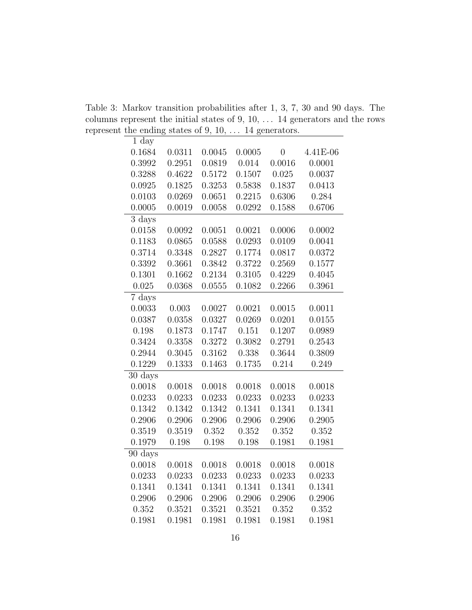<span id="page-17-0"></span>Table 3: Markov transition probabilities after 1, 3, 7, 30 and 90 days. The columns represent the initial states of 9, 10, ... 14 generators and the rows represent the ending states of 9, 10, ... 14 generators.

| $1 \mathrm{day}$     |        |        |        |                |          |
|----------------------|--------|--------|--------|----------------|----------|
| 0.1684               | 0.0311 | 0.0045 | 0.0005 | $\overline{0}$ | 4.41E-06 |
| 0.3992               | 0.2951 | 0.0819 | 0.014  | 0.0016         | 0.0001   |
| 0.3288               | 0.4622 | 0.5172 | 0.1507 | 0.025          | 0.0037   |
| 0.0925               | 0.1825 | 0.3253 | 0.5838 | 0.1837         | 0.0413   |
| 0.0103               | 0.0269 | 0.0651 | 0.2215 | 0.6306         | 0.284    |
| 0.0005               | 0.0019 | 0.0058 | 0.0292 | 0.1588         | 0.6706   |
| 3 days               |        |        |        |                |          |
| 0.0158               | 0.0092 | 0.0051 | 0.0021 | 0.0006         | 0.0002   |
| 0.1183               | 0.0865 | 0.0588 | 0.0293 | 0.0109         | 0.0041   |
| 0.3714               | 0.3348 | 0.2827 | 0.1774 | 0.0817         | 0.0372   |
| 0.3392               | 0.3661 | 0.3842 | 0.3722 | 0.2569         | 0.1577   |
| 0.1301               | 0.1662 | 0.2134 | 0.3105 | 0.4229         | 0.4045   |
| 0.025                | 0.0368 | 0.0555 | 0.1082 | 0.2266         | 0.3961   |
| 7 days               |        |        |        |                |          |
| 0.0033               | 0.003  | 0.0027 | 0.0021 | 0.0015         | 0.0011   |
| 0.0387               | 0.0358 | 0.0327 | 0.0269 | 0.0201         | 0.0155   |
| 0.198                | 0.1873 | 0.1747 | 0.151  | 0.1207         | 0.0989   |
| 0.3424               | 0.3358 | 0.3272 | 0.3082 | 0.2791         | 0.2543   |
| 0.2944               | 0.3045 | 0.3162 | 0.338  | 0.3644         | 0.3809   |
| 0.1229               | 0.1333 | 0.1463 | 0.1735 | 0.214          | 0.249    |
| 30 days              |        |        |        |                |          |
| 0.0018               | 0.0018 | 0.0018 | 0.0018 | 0.0018         | 0.0018   |
| 0.0233               | 0.0233 | 0.0233 | 0.0233 | 0.0233         | 0.0233   |
| 0.1342               | 0.1342 | 0.1342 | 0.1341 | 0.1341         | 0.1341   |
| 0.2906               | 0.2906 | 0.2906 | 0.2906 | 0.2906         | 0.2905   |
| 0.3519               | 0.3519 | 0.352  | 0.352  | 0.352          | 0.352    |
| 0.1979               | 0.198  | 0.198  | 0.198  | 0.1981         | 0.1981   |
| $\overline{90}$ days |        |        |        |                |          |
| 0.0018               | 0.0018 | 0.0018 | 0.0018 | 0.0018         | 0.0018   |
| 0.0233               | 0.0233 | 0.0233 | 0.0233 | 0.0233         | 0.0233   |
| 0.1341               | 0.1341 | 0.1341 | 0.1341 | 0.1341         | 0.1341   |
| 0.2906               | 0.2906 | 0.2906 | 0.2906 | 0.2906         | 0.2906   |
| 0.352                | 0.3521 | 0.3521 | 0.3521 | 0.352          | 0.352    |
| 0.1981               | 0.1981 | 0.1981 | 0.1981 | 0.1981         | 0.1981   |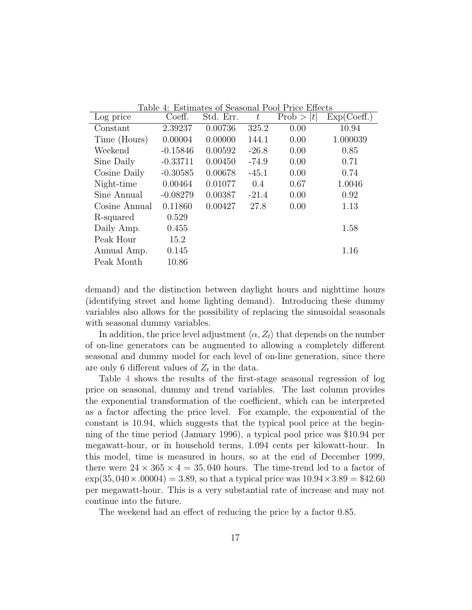| TODIO         |            |           |         | $\pm$ . Estimates of seasonal Fool Fire Encess |             |
|---------------|------------|-----------|---------|------------------------------------------------|-------------|
| Log price     | Coeff.     | Std. Err. | $t\,$   | Prob >  t                                      | Exp(Coeff.) |
| Constant      | 2.39237    | 0.00736   | 325.2   | 0.00                                           | 10.94       |
| Time (Hours)  | 0.00004    | 0.00000   | 144.1   | 0.00                                           | 1.000039    |
| Weekend       | $-0.15846$ | 0.00592   | $-26.8$ | 0.00                                           | 0.85        |
| Sine Daily    | $-0.33711$ | 0.00450   | $-74.9$ | 0.00                                           | 0.71        |
| Cosine Daily  | $-0.30585$ | 0.00678   | $-45.1$ | 0.00                                           | 0.74        |
| Night-time    | 0.00464    | 0.01077   | 0.4     | 0.67                                           | 1.0046      |
| Sine Annual   | $-0.08279$ | 0.00387   | $-21.4$ | 0.00                                           | 0.92        |
| Cosine Annual | 0.11860    | 0.00427   | 27.8    | 0.00                                           | 1.13        |
| R-squared     | 0.529      |           |         |                                                |             |
| Daily Amp.    | 0.455      |           |         |                                                | 1.58        |
| Peak Hour     | 15.2       |           |         |                                                |             |
| Annual Amp.   | 0.145      |           |         |                                                | 1.16        |
| Peak Month    | 10.86      |           |         |                                                |             |

<span id="page-18-0"></span>Table 4: Estimates of Seasonal Pool Price Effects

demand) and the distinction between daylight hours and nighttime hours (identifying street and home lighting demand). Introducing these dummy variables also allows for the possibility of replacing the sinusoidal seasonals with seasonal dummy variables.

In addition, the price level adjustment  $\langle \alpha, Z_t \rangle$  that depends on the number of on-line generators can be augmented to allowing a completely different seasonal and dummy model for each level of on-line generation, since there are only 6 different values of  $Z_t$  in the data.

Table [4](#page-18-0) shows the results of the first-stage seasonal regression of log price on seasonal, dummy and trend variables. The last column provides the exponential transformation of the coefficient, which can be interpreted as a factor affecting the price level. For example, the exponential of the constant is 10.94, which suggests that the typical pool price at the beginning of the time period (January 1996), a typical pool price was \$10.94 per megawatt-hour, or in household terms, 1.094 cents per kilowatt-hour. In this model, time is measured in hours, so at the end of December 1999, there were  $24 \times 365 \times 4 = 35,040$  hours. The time-trend led to a factor of  $\exp(35,040 \times 0.00004) = 3.89$ , so that a typical price was  $10.94 \times 3.89 = $42.60$ per megawatt-hour. This is a very substantial rate of increase and may not continue into the future.

The weekend had an effect of reducing the price by a factor 0.85.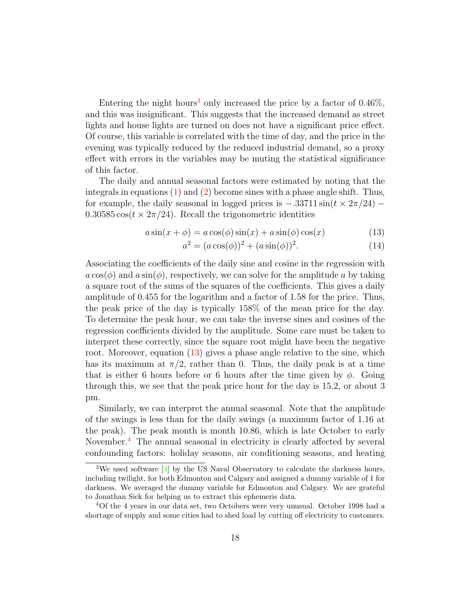Entering the night hours<sup>[3](#page-19-0)</sup> only increased the price by a factor of  $0.46\%$ , and this was insignificant. This suggests that the increased demand as street lights and house lights are turned on does not have a significant price effect. Of course, this variable is correlated with the time of day, and the price in the evening was typically reduced by the reduced industrial demand, so a proxy effect with errors in the variables may be muting the statistical significance of this factor.

The daily and annual seasonal factors were estimated by noting that the integrals in equations  $(1)$  and  $(2)$  become sines with a phase angle shift. Thus, for example, the daily seasonal in logged prices is  $-.33711 \sin(t \times 2\pi/24)$  –  $0.30585 \cos(t \times 2\pi/24)$ . Recall the trigonometric identities

$$
a\sin(x+\phi) = a\cos(\phi)\sin(x) + a\sin(\phi)\cos(x)
$$
 (13)

<span id="page-19-1"></span>
$$
a^{2} = (a \cos(\phi))^{2} + (a \sin(\phi))^{2}.
$$
 (14)

Associating the coefficients of the daily sine and cosine in the regression with  $a\cos(\phi)$  and  $a\sin(\phi)$ , respectively, we can solve for the amplitude a by taking a square root of the sums of the squares of the coefficients. This gives a daily amplitude of 0.455 for the logarithm and a factor of 1.58 for the price. Thus, the peak price of the day is typically 158% of the mean price for the day. To determine the peak hour, we can take the inverse sines and cosines of the regression coefficients divided by the amplitude. Some care must be taken to interpret these correctly, since the square root might have been the negative root. Moreover, equation [\(13\)](#page-19-1) gives a phase angle relative to the sine, which has its maximum at  $\pi/2$ , rather than 0. Thus, the daily peak is at a time that is either 6 hours before or 6 hours after the time given by  $\phi$ . Going through this, we see that the peak price hour for the day is 15.2, or about 3 pm.

<span id="page-19-0"></span>Similarly, we can interpret the annual seasonal. Note that the amplitude of the swings is less than for the daily swings (a maximum factor of 1.16 at the peak). The peak month is month 10.86, which is late October to early November.<sup>[4](#page-19-2)</sup> The annual seasonal in electricity is clearly affected by several confounding factors: holiday seasons, air conditioning seasons, and heating

<span id="page-19-2"></span><sup>&</sup>lt;sup>3</sup>We used software [\[4\]](#page-25-3) by the US Naval Observatory to calculate the darkness hours, including twilight, for both Edmonton and Calgary and assigned a dummy variable of 1 for darkness. We averaged the dummy variable for Edmonton and Calgary. We are grateful to Jonathan Sick for helping us to extract this ephemeris data.

<sup>4</sup>Of the 4 years in our data set, two Octobers were very unusual. October 1998 had a shortage of supply and some cities had to shed load by cutting off electricity to customers.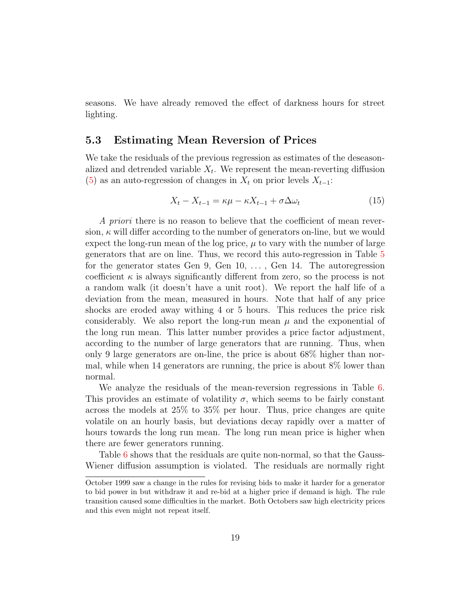seasons. We have already removed the effect of darkness hours for street lighting.

#### **5.3 Estimating Mean Reversion of Prices**

We take the residuals of the previous regression as estimates of the deseasonalized and detrended variable  $X_t$ . We represent the mean-reverting diffusion [\(5\)](#page-7-1) as an auto-regression of changes in  $X_t$  on prior levels  $X_{t-1}$ :

$$
X_t - X_{t-1} = \kappa \mu - \kappa X_{t-1} + \sigma \Delta \omega_t \tag{15}
$$

A priori there is no reason to believe that the coefficient of mean reversion,  $\kappa$  will differ according to the number of generators on-line, but we would expect the long-run mean of the log price,  $\mu$  to vary with the number of large generators that are on line. Thus, we record this auto-regression in Table [5](#page-21-0) for the generator states Gen 9, Gen 10, ... , Gen 14. The autoregression coefficient  $\kappa$  is always significantly different from zero, so the process is not a random walk (it doesn't have a unit root). We report the half life of a deviation from the mean, measured in hours. Note that half of any price shocks are eroded away withing 4 or 5 hours. This reduces the price risk considerably. We also report the long-run mean  $\mu$  and the exponential of the long run mean. This latter number provides a price factor adjustment, according to the number of large generators that are running. Thus, when only 9 large generators are on-line, the price is about 68% higher than normal, while when 14 generators are running, the price is about 8% lower than normal.

We analyze the residuals of the mean-reversion regressions in Table [6.](#page-21-1) This provides an estimate of volatility  $\sigma$ , which seems to be fairly constant across the models at 25% to 35% per hour. Thus, price changes are quite volatile on an hourly basis, but deviations decay rapidly over a matter of hours towards the long run mean. The long run mean price is higher when there are fewer generators running.

Table [6](#page-21-1) shows that the residuals are quite non-normal, so that the Gauss-Wiener diffusion assumption is violated. The residuals are normally right

October 1999 saw a change in the rules for revising bids to make it harder for a generator to bid power in but withdraw it and re-bid at a higher price if demand is high. The rule transition caused some difficulties in the market. Both Octobers saw high electricity prices and this even might not repeat itself.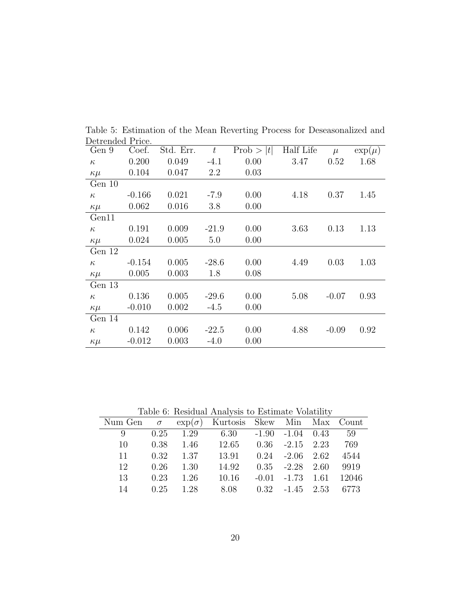| Detrengeg Price. |          |           |         |           |           |         |             |
|------------------|----------|-----------|---------|-----------|-----------|---------|-------------|
| Gen 9            | Coef.    | Std. Err. | t       | Prob >  t | Half Life | $\mu$   | $\exp(\mu)$ |
| $\kappa$         | 0.200    | 0.049     | $-4.1$  | 0.00      | 3.47      | 0.52    | 1.68        |
| $\kappa\mu$      | 0.104    | 0.047     | 2.2     | 0.03      |           |         |             |
| Gen 10           |          |           |         |           |           |         |             |
| $\kappa$         | $-0.166$ | 0.021     | $-7.9$  | 0.00      | 4.18      | 0.37    | 1.45        |
| $\kappa\mu$      | 0.062    | 0.016     | 3.8     | 0.00      |           |         |             |
| Gen11            |          |           |         |           |           |         |             |
| $\kappa$         | 0.191    | 0.009     | $-21.9$ | 0.00      | 3.63      | 0.13    | 1.13        |
| $\kappa\mu$      | 0.024    | 0.005     | 5.0     | 0.00      |           |         |             |
| Gen 12           |          |           |         |           |           |         |             |
| $\kappa$         | $-0.154$ | 0.005     | $-28.6$ | 0.00      | 4.49      | 0.03    | 1.03        |
| $\kappa\mu$      | 0.005    | 0.003     | 1.8     | 0.08      |           |         |             |
| Gen 13           |          |           |         |           |           |         |             |
| $\kappa$         | 0.136    | 0.005     | $-29.6$ | 0.00      | 5.08      | $-0.07$ | 0.93        |
| $\kappa\mu$      | $-0.010$ | 0.002     | $-4.5$  | 0.00      |           |         |             |
| Gen 14           |          |           |         |           |           |         |             |
| $\kappa$         | 0.142    | 0.006     | $-22.5$ | 0.00      | 4.88      | $-0.09$ | 0.92        |
| $\kappa\mu$      | $-0.012$ | 0.003     | $-4.0$  | 0.00      |           |         |             |
|                  |          |           |         |           |           |         |             |

<span id="page-21-0"></span>Table 5: Estimation of the Mean Reverting Process for Deseasonalized and Detrended Price.

<span id="page-21-1"></span>Table 6: Residual Analysis to Estimate Volatility

|                                                              | rapid 0. resident margin to Estimate volutility |                    |                                                  |  |                              |  |                                |  |  |
|--------------------------------------------------------------|-------------------------------------------------|--------------------|--------------------------------------------------|--|------------------------------|--|--------------------------------|--|--|
| Num Gen $\sigma$ exp( $\sigma$ ) Kurtosis Skew Min Max Count |                                                 |                    |                                                  |  |                              |  |                                |  |  |
| 9                                                            |                                                 |                    | $0.25$ $1.29$ $6.30$ $-1.90$ $-1.04$ $0.43$ $59$ |  |                              |  |                                |  |  |
| 10                                                           |                                                 | $0.38$ 1.46        | $12.65$ $0.36$ $-2.15$ $2.23$                    |  |                              |  | 769                            |  |  |
| 11                                                           |                                                 | $0.32 \qquad 1.37$ | 13.91                                            |  | $0.24$ $-2.06$ $2.62$ $4544$ |  |                                |  |  |
| 12                                                           |                                                 | $0.26$ 1.30        | 14.92                                            |  | $0.35$ $-2.28$ $2.60$ $9919$ |  |                                |  |  |
| 13                                                           |                                                 | $0.23 \quad 1.26$  | 10.16                                            |  |                              |  | $-0.01$ $-1.73$ $1.61$ $12046$ |  |  |
| 14                                                           |                                                 | $0.25$ 1.28        | 8.08                                             |  | $0.32 -1.45$ $2.53$ 6773     |  |                                |  |  |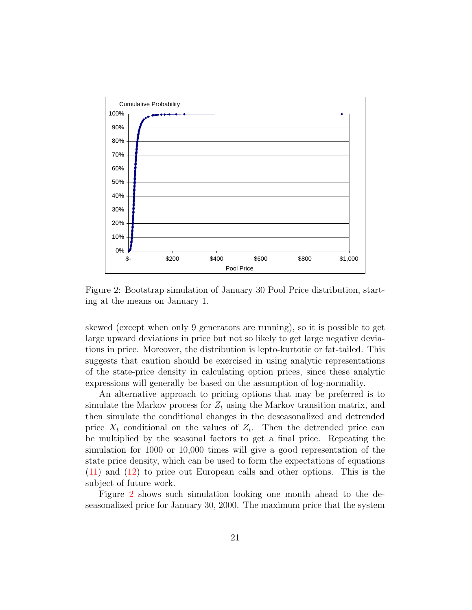

<span id="page-22-0"></span>Figure 2: Bootstrap simulation of January 30 Pool Price distribution, starting at the means on January 1.

skewed (except when only 9 generators are running), so it is possible to get large upward deviations in price but not so likely to get large negative deviations in price. Moreover, the distribution is lepto-kurtotic or fat-tailed. This suggests that caution should be exercised in using analytic representations of the state-price density in calculating option prices, since these analytic expressions will generally be based on the assumption of log-normality.

An alternative approach to pricing options that may be preferred is to simulate the Markov process for  $Z_t$  using the Markov transition matrix, and then simulate the conditional changes in the deseasonalized and detrended price  $X_t$  conditional on the values of  $Z_t$ . Then the detrended price can be multiplied by the seasonal factors to get a final price. Repeating the simulation for 1000 or 10,000 times will give a good representation of the state price density, which can be used to form the expectations of equations [\(11\)](#page-13-0) and [\(12\)](#page-14-1) to price out European calls and other options. This is the subject of future work.

Figure [2](#page-22-0) shows such simulation looking one month ahead to the deseasonalized price for January 30, 2000. The maximum price that the system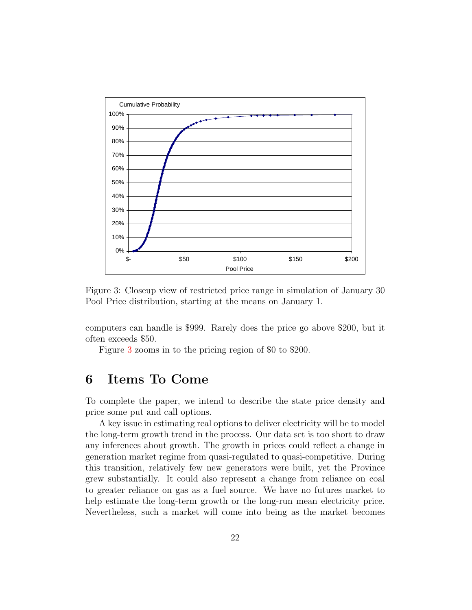

<span id="page-23-0"></span>Figure 3: Closeup view of restricted price range in simulation of January 30 Pool Price distribution, starting at the means on January 1.

computers can handle is \$999. Rarely does the price go above \$200, but it often exceeds \$50.

Figure [3](#page-23-0) zooms in to the pricing region of \$0 to \$200.

### **6 Items To Come**

To complete the paper, we intend to describe the state price density and price some put and call options.

A key issue in estimating real options to deliver electricity will be to model the long-term growth trend in the process. Our data set is too short to draw any inferences about growth. The growth in prices could reflect a change in generation market regime from quasi-regulated to quasi-competitive. During this transition, relatively few new generators were built, yet the Province grew substantially. It could also represent a change from reliance on coal to greater reliance on gas as a fuel source. We have no futures market to help estimate the long-term growth or the long-run mean electricity price. Nevertheless, such a market will come into being as the market becomes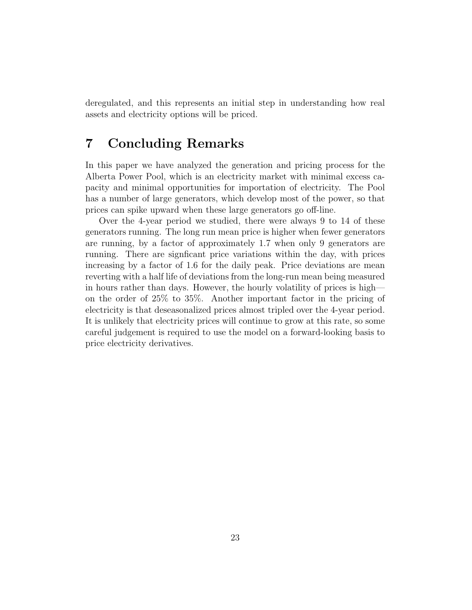deregulated, and this represents an initial step in understanding how real assets and electricity options will be priced.

### **7 Concluding Remarks**

In this paper we have analyzed the generation and pricing process for the Alberta Power Pool, which is an electricity market with minimal excess capacity and minimal opportunities for importation of electricity. The Pool has a number of large generators, which develop most of the power, so that prices can spike upward when these large generators go off-line.

Over the 4-year period we studied, there were always 9 to 14 of these generators running. The long run mean price is higher when fewer generators are running, by a factor of approximately 1.7 when only 9 generators are running. There are signficant price variations within the day, with prices increasing by a factor of 1.6 for the daily peak. Price deviations are mean reverting with a half life of deviations from the long-run mean being measured in hours rather than days. However, the hourly volatility of prices is high on the order of 25% to 35%. Another important factor in the pricing of electricity is that deseasonalized prices almost tripled over the 4-year period. It is unlikely that electricity prices will continue to grow at this rate, so some careful judgement is required to use the model on a forward-looking basis to price electricity derivatives.